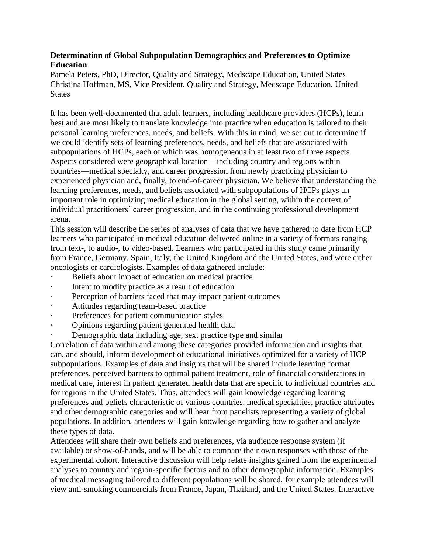## **Determination of Global Subpopulation Demographics and Preferences to Optimize Education**

Pamela Peters, PhD, Director, Quality and Strategy, Medscape Education, United States Christina Hoffman, MS, Vice President, Quality and Strategy, Medscape Education, United **States** 

It has been well-documented that adult learners, including healthcare providers (HCPs), learn best and are most likely to translate knowledge into practice when education is tailored to their personal learning preferences, needs, and beliefs. With this in mind, we set out to determine if we could identify sets of learning preferences, needs, and beliefs that are associated with subpopulations of HCPs, each of which was homogeneous in at least two of three aspects. Aspects considered were geographical location—including country and regions within countries—medical specialty, and career progression from newly practicing physician to experienced physician and, finally, to end-of-career physician. We believe that understanding the learning preferences, needs, and beliefs associated with subpopulations of HCPs plays an important role in optimizing medical education in the global setting, within the context of individual practitioners' career progression, and in the continuing professional development arena.

This session will describe the series of analyses of data that we have gathered to date from HCP learners who participated in medical education delivered online in a variety of formats ranging from text-, to audio-, to video-based. Learners who participated in this study came primarily from France, Germany, Spain, Italy, the United Kingdom and the United States, and were either oncologists or cardiologists. Examples of data gathered include:

- Beliefs about impact of education on medical practice
- Intent to modify practice as a result of education
- Perception of barriers faced that may impact patient outcomes
- Attitudes regarding team-based practice
- Preferences for patient communication styles
- · Opinions regarding patient generated health data
- Demographic data including age, sex, practice type and similar

Correlation of data within and among these categories provided information and insights that can, and should, inform development of educational initiatives optimized for a variety of HCP subpopulations. Examples of data and insights that will be shared include learning format preferences, perceived barriers to optimal patient treatment, role of financial considerations in medical care, interest in patient generated health data that are specific to individual countries and for regions in the United States. Thus, attendees will gain knowledge regarding learning preferences and beliefs characteristic of various countries, medical specialties, practice attributes and other demographic categories and will hear from panelists representing a variety of global populations. In addition, attendees will gain knowledge regarding how to gather and analyze these types of data.

Attendees will share their own beliefs and preferences, via audience response system (if available) or show-of-hands, and will be able to compare their own responses with those of the experimental cohort. Interactive discussion will help relate insights gained from the experimental analyses to country and region-specific factors and to other demographic information. Examples of medical messaging tailored to different populations will be shared, for example attendees will view anti-smoking commercials from France, Japan, Thailand, and the United States. Interactive